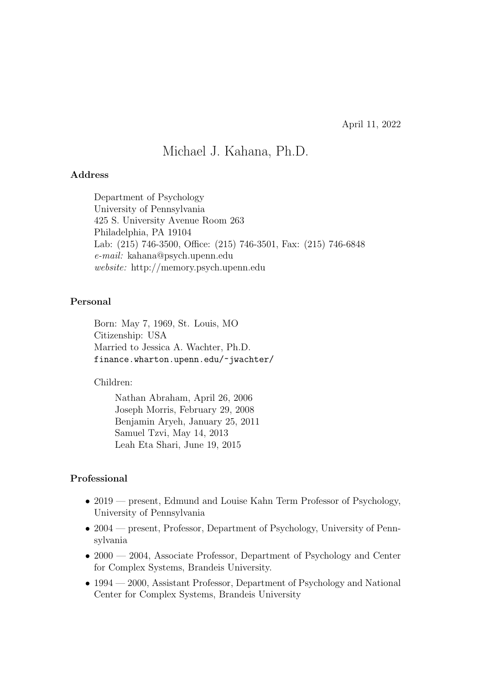# Michael J. Kahana, Ph.D.

#### Address

Department of Psychology University of Pennsylvania 425 S. University Avenue Room 263 Philadelphia, PA 19104 Lab: (215) 746-3500, Office: (215) 746-3501, Fax: (215) 746-6848 e-mail: kahana@psych.upenn.edu website: http://memory.psych.upenn.edu

#### Personal

Born: May 7, 1969, St. Louis, MO Citizenship: USA Married to Jessica A. Wachter, Ph.D. finance.wharton.upenn.edu/~jwachter/

#### Children:

Nathan Abraham, April 26, 2006 Joseph Morris, February 29, 2008 Benjamin Aryeh, January 25, 2011 Samuel Tzvi, May 14, 2013 Leah Eta Shari, June 19, 2015

#### Professional

- 2019 present, Edmund and Louise Kahn Term Professor of Psychology, University of Pennsylvania
- 2004 present, Professor, Department of Psychology, University of Pennsylvania
- 2000 2004, Associate Professor, Department of Psychology and Center for Complex Systems, Brandeis University.
- 1994 2000, Assistant Professor, Department of Psychology and National Center for Complex Systems, Brandeis University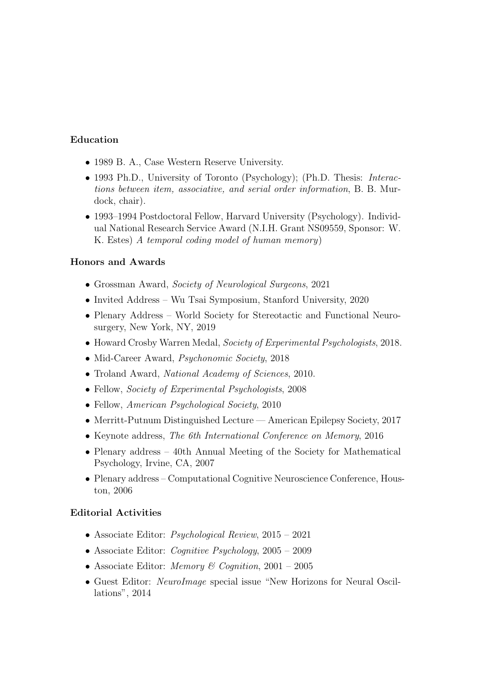### Education

- 1989 B. A., Case Western Reserve University.
- 1993 Ph.D., University of Toronto (Psychology); (Ph.D. Thesis: *Interac*tions between item, associative, and serial order information, B. B. Murdock, chair).
- 1993–1994 Postdoctoral Fellow, Harvard University (Psychology). Individual National Research Service Award (N.I.H. Grant NS09559, Sponsor: W. K. Estes) A temporal coding model of human memory)

#### Honors and Awards

- Grossman Award, Society of Neurological Surgeons, 2021
- Invited Address Wu Tsai Symposium, Stanford University, 2020
- Plenary Address World Society for Stereotactic and Functional Neurosurgery, New York, NY, 2019
- Howard Crosby Warren Medal, Society of Experimental Psychologists, 2018.
- Mid-Career Award, *Psychonomic Society*, 2018
- Troland Award, National Academy of Sciences, 2010.
- Fellow, *Society of Experimental Psychologists*, 2008
- Fellow, American Psychological Society, 2010
- Merritt-Putnum Distinguished Lecture American Epilepsy Society, 2017
- Keynote address, The 6th International Conference on Memory, 2016
- Plenary address 40th Annual Meeting of the Society for Mathematical Psychology, Irvine, CA, 2007
- Plenary address Computational Cognitive Neuroscience Conference, Houston, 2006

#### Editorial Activities

- Associate Editor: Psychological Review, 2015 2021
- Associate Editor: *Cognitive Psychology*,  $2005 2009$
- Associate Editor: *Memory & Cognition*, 2001 2005
- Guest Editor: NeuroImage special issue "New Horizons for Neural Oscillations", 2014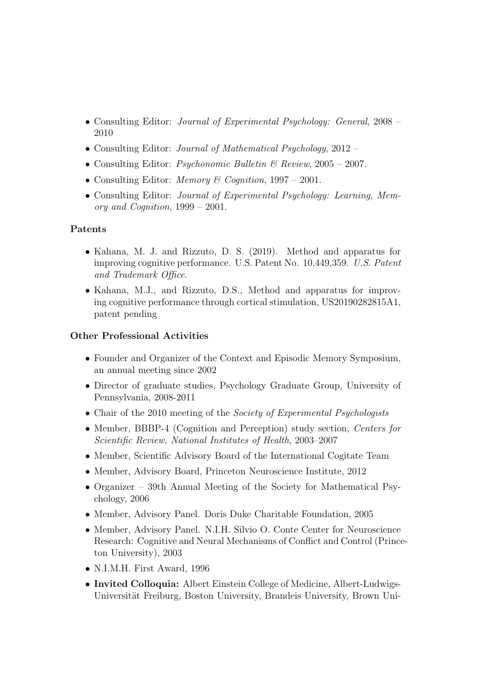- Consulting Editor: Journal of Experimental Psychology: General, 2008 2010
- Consulting Editor: Journal of Mathematical Psychology, 2012 –
- Consulting Editor: *Psychonomic Bulletin*  $\mathcal{B}$  *Review*, 2005 2007.
- Consulting Editor: *Memory & Cognition*,  $1997 2001$ .
- Consulting Editor: Journal of Experimental Psychology: Learning, Memory and Cognition, 1999 – 2001.

#### Patents

- Kahana, M. J. and Rizzuto, D. S. (2019). Method and apparatus for improving cognitive performance. U.S. Patent No. 10,449,359. U.S. Patent and Trademark Office.
- Kahana, M.J., and Rizzuto, D.S., Method and apparatus for improving cognitive performance through cortical stimulation, US20190282815A1, patent pending

#### Other Professional Activities

- Founder and Organizer of the Context and Episodic Memory Symposium, an annual meeting since 2002
- Director of graduate studies, Psychology Graduate Group, University of Pennsylvania, 2008-2011
- Chair of the 2010 meeting of the *Society of Experimental Psychologists*
- Member, BBBP-4 (Cognition and Perception) study section, Centers for Scientific Review, National Institutes of Health, 2003–2007
- Member, Scientific Advisory Board of the International Cogitate Team
- Member, Advisory Board, Princeton Neuroscience Institute, 2012
- Organizer 39th Annual Meeting of the Society for Mathematical Psychology, 2006
- Member, Advisory Panel. Doris Duke Charitable Foundation, 2005
- Member, Advisory Panel. N.I.H. Silvio O. Conte Center for Neuroscience Research: Cognitive and Neural Mechanisms of Conflict and Control (Princeton University), 2003
- N.I.M.H. First Award, 1996
- Invited Colloquia: Albert Einstein College of Medicine, Albert-Ludwigs-Universität Freiburg, Boston University, Brandeis University, Brown Uni-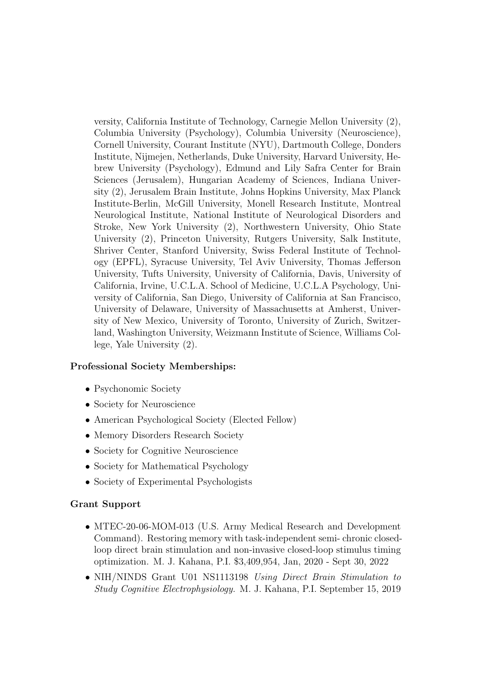versity, California Institute of Technology, Carnegie Mellon University (2), Columbia University (Psychology), Columbia University (Neuroscience), Cornell University, Courant Institute (NYU), Dartmouth College, Donders Institute, Nijmejen, Netherlands, Duke University, Harvard University, Hebrew University (Psychology), Edmund and Lily Safra Center for Brain Sciences (Jerusalem), Hungarian Academy of Sciences, Indiana University (2), Jerusalem Brain Institute, Johns Hopkins University, Max Planck Institute-Berlin, McGill University, Monell Research Institute, Montreal Neurological Institute, National Institute of Neurological Disorders and Stroke, New York University (2), Northwestern University, Ohio State University (2), Princeton University, Rutgers University, Salk Institute, Shriver Center, Stanford University, Swiss Federal Institute of Technology (EPFL), Syracuse University, Tel Aviv University, Thomas Jefferson University, Tufts University, University of California, Davis, University of California, Irvine, U.C.L.A. School of Medicine, U.C.L.A Psychology, University of California, San Diego, University of California at San Francisco, University of Delaware, University of Massachusetts at Amherst, University of New Mexico, University of Toronto, University of Zurich, Switzerland, Washington University, Weizmann Institute of Science, Williams College, Yale University (2).

### Professional Society Memberships:

- Psychonomic Society
- Society for Neuroscience
- American Psychological Society (Elected Fellow)
- Memory Disorders Research Society
- Society for Cognitive Neuroscience
- Society for Mathematical Psychology
- Society of Experimental Psychologists

#### Grant Support

- MTEC-20-06-MOM-013 (U.S. Army Medical Research and Development Command). Restoring memory with task-independent semi- chronic closedloop direct brain stimulation and non-invasive closed-loop stimulus timing optimization. M. J. Kahana, P.I. \$3,409,954, Jan, 2020 - Sept 30, 2022
- NIH/NINDS Grant U01 NS1113198 Using Direct Brain Stimulation to Study Cognitive Electrophysiology. M. J. Kahana, P.I. September 15, 2019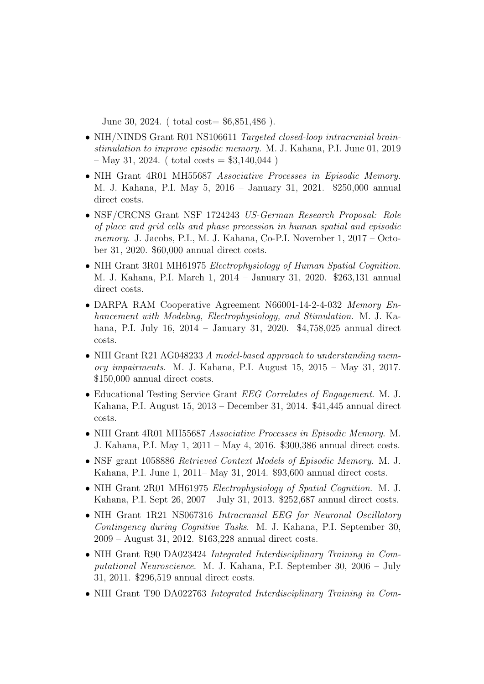$-$  June 30, 2024. (total cost=  $$6,851,486$ ).

- NIH/NINDS Grant R01 NS106611 Targeted closed-loop intracranial brainstimulation to improve episodic memory. M. J. Kahana, P.I. June 01, 2019  $-$  May 31, 2024. ( total costs  $=$  \$3,140,044 )
- NIH Grant 4R01 MH55687 Associative Processes in Episodic Memory. M. J. Kahana, P.I. May 5, 2016 – January 31, 2021. \$250,000 annual direct costs.
- NSF/CRCNS Grant NSF 1724243 US-German Research Proposal: Role of place and grid cells and phase precession in human spatial and episodic memory. J. Jacobs, P.I., M. J. Kahana, Co-P.I. November 1, 2017 – October 31, 2020. \$60,000 annual direct costs.
- NIH Grant 3R01 MH61975 Electrophysiology of Human Spatial Cognition. M. J. Kahana, P.I. March 1, 2014 – January 31, 2020. \$263,131 annual direct costs.
- DARPA RAM Cooperative Agreement N66001-14-2-4-032 Memory Enhancement with Modeling, Electrophysiology, and Stimulation. M. J. Kahana, P.I. July 16, 2014 – January 31, 2020. \$4,758,025 annual direct costs.
- NIH Grant R21 AG048233 A model-based approach to understanding memory impairments. M. J. Kahana, P.I. August 15, 2015 – May 31, 2017. \$150,000 annual direct costs.
- Educational Testing Service Grant EEG Correlates of Engagement. M. J. Kahana, P.I. August 15, 2013 – December 31, 2014. \$41,445 annual direct costs.
- NIH Grant 4R01 MH55687 Associative Processes in Episodic Memory. M. J. Kahana, P.I. May 1, 2011 – May 4, 2016. \$300,386 annual direct costs.
- NSF grant 1058886 Retrieved Context Models of Episodic Memory. M. J. Kahana, P.I. June 1, 2011– May 31, 2014. \$93,600 annual direct costs.
- NIH Grant 2R01 MH61975 Electrophysiology of Spatial Cognition. M. J. Kahana, P.I. Sept 26, 2007 – July 31, 2013. \$252,687 annual direct costs.
- NIH Grant 1R21 NS067316 Intracranial EEG for Neuronal Oscillatory Contingency during Cognitive Tasks. M. J. Kahana, P.I. September 30, 2009 – August 31, 2012. \$163,228 annual direct costs.
- NIH Grant R90 DA023424 Integrated Interdisciplinary Training in Computational Neuroscience. M. J. Kahana, P.I. September 30, 2006 – July 31, 2011. \$296,519 annual direct costs.
- NIH Grant T90 DA022763 Integrated Interdisciplinary Training in Com-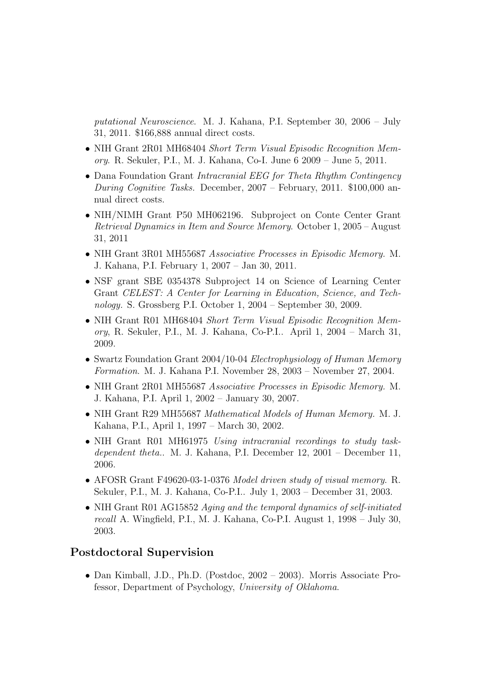putational Neuroscience. M. J. Kahana, P.I. September 30, 2006 – July 31, 2011. \$166,888 annual direct costs.

- NIH Grant 2R01 MH68404 Short Term Visual Episodic Recognition Memory. R. Sekuler, P.I., M. J. Kahana, Co-I. June 6 2009 – June 5, 2011.
- Dana Foundation Grant Intracranial EEG for Theta Rhythm Contingency During Cognitive Tasks. December, 2007 – February, 2011. \$100,000 annual direct costs.
- NIH/NIMH Grant P50 MH062196. Subproject on Conte Center Grant Retrieval Dynamics in Item and Source Memory. October 1, 2005 – August 31, 2011
- NIH Grant 3R01 MH55687 Associative Processes in Episodic Memory. M. J. Kahana, P.I. February 1, 2007 – Jan 30, 2011.
- NSF grant SBE 0354378 Subproject 14 on Science of Learning Center Grant CELEST: A Center for Learning in Education, Science, and Technology. S. Grossberg P.I. October 1, 2004 – September 30, 2009.
- NIH Grant R01 MH68404 Short Term Visual Episodic Recognition Memory, R. Sekuler, P.I., M. J. Kahana, Co-P.I.. April 1, 2004 – March 31, 2009.
- Swartz Foundation Grant 2004/10-04 Electrophysiology of Human Memory Formation. M. J. Kahana P.I. November 28, 2003 – November 27, 2004.
- NIH Grant 2R01 MH55687 Associative Processes in Episodic Memory. M. J. Kahana, P.I. April 1, 2002 – January 30, 2007.
- NIH Grant R29 MH55687 Mathematical Models of Human Memory. M. J. Kahana, P.I., April 1, 1997 – March 30, 2002.
- NIH Grant R01 MH61975 Using intracranial recordings to study taskdependent theta.. M. J. Kahana, P.I. December 12, 2001 – December 11, 2006.
- AFOSR Grant F49620-03-1-0376 Model driven study of visual memory. R. Sekuler, P.I., M. J. Kahana, Co-P.I.. July 1, 2003 – December 31, 2003.
- NIH Grant R01 AG15852 Aging and the temporal dynamics of self-initiated recall A. Wingfield, P.I., M. J. Kahana, Co-P.I. August 1, 1998 – July 30, 2003.

# Postdoctoral Supervision

• Dan Kimball, J.D., Ph.D. (Postdoc, 2002 – 2003). Morris Associate Professor, Department of Psychology, University of Oklahoma.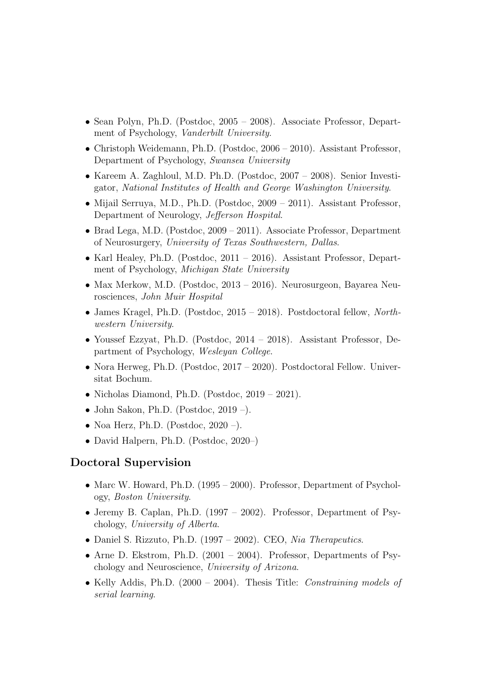- Sean Polyn, Ph.D. (Postdoc, 2005 2008). Associate Professor, Department of Psychology, Vanderbilt University.
- Christoph Weidemann, Ph.D. (Postdoc, 2006 2010). Assistant Professor, Department of Psychology, Swansea University
- Kareem A. Zaghloul, M.D. Ph.D. (Postdoc, 2007 2008). Senior Investigator, National Institutes of Health and George Washington University.
- Mijail Serruya, M.D., Ph.D. (Postdoc, 2009 2011). Assistant Professor, Department of Neurology, Jefferson Hospital.
- Brad Lega, M.D. (Postdoc, 2009 2011). Associate Professor, Department of Neurosurgery, University of Texas Southwestern, Dallas.
- Karl Healey, Ph.D. (Postdoc, 2011 2016). Assistant Professor, Department of Psychology, Michigan State University
- Max Merkow, M.D. (Postdoc, 2013 2016). Neurosurgeon, Bayarea Neurosciences, John Muir Hospital
- James Kragel, Ph.D. (Postdoc, 2015 2018). Postdoctoral fellow, Northwestern University.
- Youssef Ezzyat, Ph.D. (Postdoc, 2014 2018). Assistant Professor, Department of Psychology, Wesleyan College.
- Nora Herweg, Ph.D. (Postdoc, 2017 2020). Postdoctoral Fellow. Universitat Bochum.
- Nicholas Diamond, Ph.D. (Postdoc, 2019 2021).
- John Sakon, Ph.D. (Postdoc,  $2019$  –).
- Noa Herz, Ph.D. (Postdoc,  $2020 -$ ).
- David Halpern, Ph.D. (Postdoc, 2020–)

### Doctoral Supervision

- Marc W. Howard, Ph.D. (1995 2000). Professor, Department of Psychology, Boston University.
- Jeremy B. Caplan, Ph.D. (1997 2002). Professor, Department of Psychology, University of Alberta.
- Daniel S. Rizzuto, Ph.D. (1997 2002). CEO, Nia Therapeutics.
- Arne D. Ekstrom, Ph.D.  $(2001 2004)$ . Professor, Departments of Psychology and Neuroscience, University of Arizona.
- Kelly Addis, Ph.D. (2000 2004). Thesis Title: *Constraining models of* serial learning.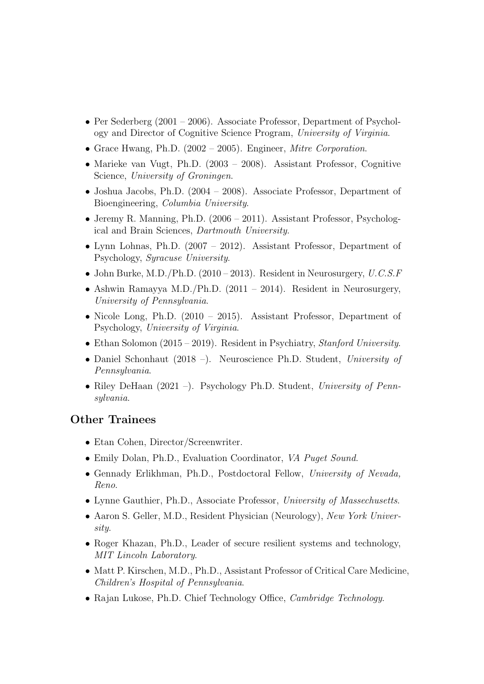- Per Sederberg  $(2001 2006)$ . Associate Professor, Department of Psychology and Director of Cognitive Science Program, University of Virginia.
- Grace Hwang, Ph.D. (2002 2005). Engineer, Mitre Corporation.
- Marieke van Vugt, Ph.D. (2003 2008). Assistant Professor, Cognitive Science, University of Groningen.
- Joshua Jacobs, Ph.D. (2004 2008). Associate Professor, Department of Bioengineering, Columbia University.
- Jeremy R. Manning, Ph.D. (2006 2011). Assistant Professor, Psychological and Brain Sciences, Dartmouth University.
- Lynn Lohnas, Ph.D. (2007 2012). Assistant Professor, Department of Psychology, Syracuse University.
- John Burke, M.D./Ph.D. (2010 2013). Resident in Neurosurgery,  $U.C.S.F$
- Ashwin Ramayya M.D./Ph.D.  $(2011 2014)$ . Resident in Neurosurgery, University of Pennsylvania.
- Nicole Long, Ph.D. (2010 2015). Assistant Professor, Department of Psychology, University of Virginia.
- Ethan Solomon  $(2015 2019)$ . Resident in Psychiatry, *Stanford University*.
- Daniel Schonhaut (2018 –). Neuroscience Ph.D. Student, University of Pennsylvania.
- Riley DeHaan  $(2021 -)$ . Psychology Ph.D. Student, University of Pennsylvania.

# Other Trainees

- Etan Cohen, Director/Screenwriter.
- Emily Dolan, Ph.D., Evaluation Coordinator, VA Puget Sound.
- Gennady Erlikhman, Ph.D., Postdoctoral Fellow, University of Nevada, Reno.
- Lynne Gauthier, Ph.D., Associate Professor, University of Massechusetts.
- Aaron S. Geller, M.D., Resident Physician (Neurology), New York University.
- Roger Khazan, Ph.D., Leader of secure resilient systems and technology, MIT Lincoln Laboratory.
- Matt P. Kirschen, M.D., Ph.D., Assistant Professor of Critical Care Medicine, Children's Hospital of Pennsylvania.
- Rajan Lukose, Ph.D. Chief Technology Office, *Cambridge Technology*.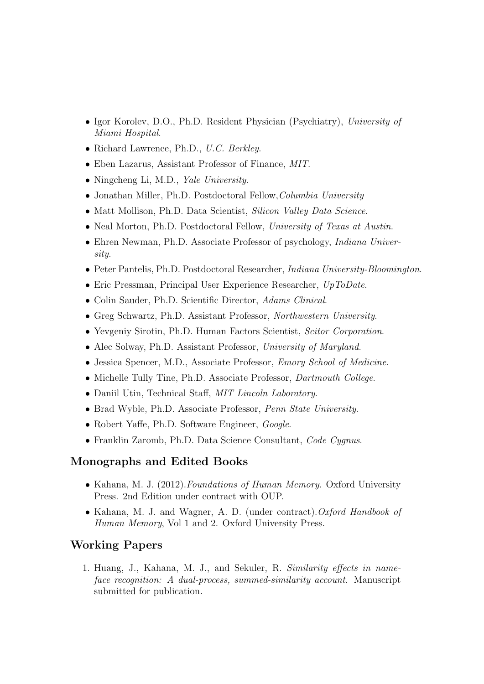- Igor Korolev, D.O., Ph.D. Resident Physician (Psychiatry), University of Miami Hospital.
- Richard Lawrence, Ph.D., U.C. Berkley.
- Eben Lazarus, Assistant Professor of Finance, MIT.
- Ningcheng Li, M.D., *Yale University*.
- Jonathan Miller, Ph.D. Postdoctoral Fellow, Columbia University
- Matt Mollison, Ph.D. Data Scientist, Silicon Valley Data Science.
- Neal Morton, Ph.D. Postdoctoral Fellow, University of Texas at Austin.
- Ehren Newman, Ph.D. Associate Professor of psychology, *Indiana Univer*sity.
- Peter Pantelis, Ph.D. Postdoctoral Researcher, Indiana University-Bloomington.
- Eric Pressman, Principal User Experience Researcher, UpToDate.
- Colin Sauder, Ph.D. Scientific Director, Adams Clinical.
- Greg Schwartz, Ph.D. Assistant Professor, Northwestern University.
- Yevgeniy Sirotin, Ph.D. Human Factors Scientist, Scitor Corporation.
- Alec Solway, Ph.D. Assistant Professor, University of Maryland.
- Jessica Spencer, M.D., Associate Professor, *Emory School of Medicine*.
- Michelle Tully Tine, Ph.D. Associate Professor, *Dartmouth College*.
- Daniil Utin, Technical Staff, MIT Lincoln Laboratory.
- Brad Wyble, Ph.D. Associate Professor, Penn State University.
- Robert Yaffe, Ph.D. Software Engineer, Google.
- Franklin Zaromb, Ph.D. Data Science Consultant, Code Cygnus.

# Monographs and Edited Books

- Kahana, M. J. (2012). Foundations of Human Memory. Oxford University Press. 2nd Edition under contract with OUP.
- Kahana, M. J. and Wagner, A. D. (under contract). Oxford Handbook of Human Memory, Vol 1 and 2. Oxford University Press.

# Working Papers

1. Huang, J., Kahana, M. J., and Sekuler, R. Similarity effects in nameface recognition: A dual-process, summed-similarity account. Manuscript submitted for publication.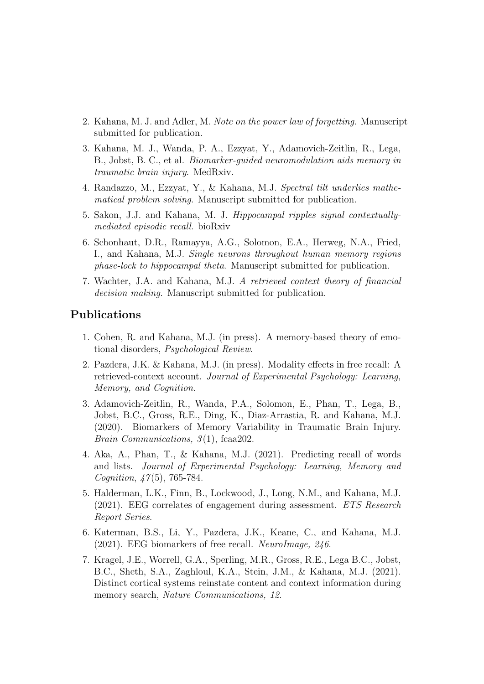- 2. Kahana, M. J. and Adler, M. Note on the power law of forgetting. Manuscript submitted for publication.
- 3. Kahana, M. J., Wanda, P. A., Ezzyat, Y., Adamovich-Zeitlin, R., Lega, B., Jobst, B. C., et al. Biomarker-guided neuromodulation aids memory in traumatic brain injury. MedRxiv.
- 4. Randazzo, M., Ezzyat, Y., & Kahana, M.J. Spectral tilt underlies mathematical problem solving. Manuscript submitted for publication.
- 5. Sakon, J.J. and Kahana, M. J. Hippocampal ripples signal contextuallymediated episodic recall. bioRxiv
- 6. Schonhaut, D.R., Ramayya, A.G., Solomon, E.A., Herweg, N.A., Fried, I., and Kahana, M.J. Single neurons throughout human memory regions phase-lock to hippocampal theta. Manuscript submitted for publication.
- 7. Wachter, J.A. and Kahana, M.J. A retrieved context theory of financial decision making. Manuscript submitted for publication.

### Publications

- 1. Cohen, R. and Kahana, M.J. (in press). A memory-based theory of emotional disorders, Psychological Review.
- 2. Pazdera, J.K. & Kahana, M.J. (in press). Modality effects in free recall: A retrieved-context account. Journal of Experimental Psychology: Learning, Memory, and Cognition.
- 3. Adamovich-Zeitlin, R., Wanda, P.A., Solomon, E., Phan, T., Lega, B., Jobst, B.C., Gross, R.E., Ding, K., Diaz-Arrastia, R. and Kahana, M.J. (2020). Biomarkers of Memory Variability in Traumatic Brain Injury. Brain Communications,  $3(1)$ , fcaa202.
- 4. Aka, A., Phan, T., & Kahana, M.J. (2021). Predicting recall of words and lists. Journal of Experimental Psychology: Learning, Memory and Cognition, 47(5), 765-784.
- 5. Halderman, L.K., Finn, B., Lockwood, J., Long, N.M., and Kahana, M.J. (2021). EEG correlates of engagement during assessment. ETS Research Report Series.
- 6. Katerman, B.S., Li, Y., Pazdera, J.K., Keane, C., and Kahana, M.J. (2021). EEG biomarkers of free recall. NeuroImage,  $246$ .
- 7. Kragel, J.E., Worrell, G.A., Sperling, M.R., Gross, R.E., Lega B.C., Jobst, B.C., Sheth, S.A., Zaghloul, K.A., Stein, J.M., & Kahana, M.J. (2021). Distinct cortical systems reinstate content and context information during memory search, *Nature Communications*, 12.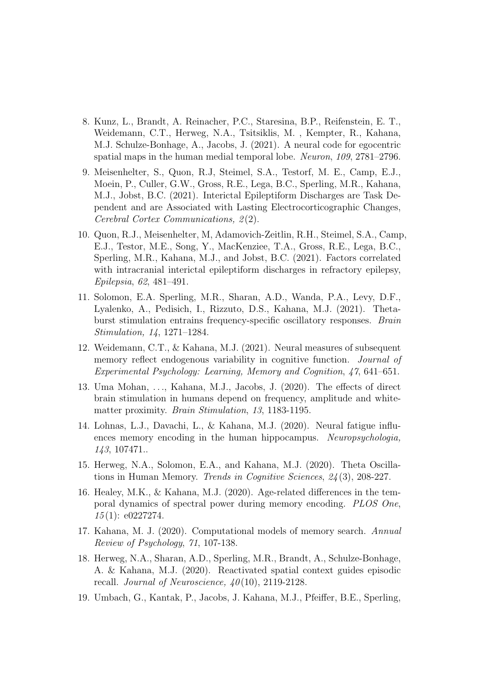- 8. Kunz, L., Brandt, A. Reinacher, P.C., Staresina, B.P., Reifenstein, E. T., Weidemann, C.T., Herweg, N.A., Tsitsiklis, M. , Kempter, R., Kahana, M.J. Schulze-Bonhage, A., Jacobs, J. (2021). A neural code for egocentric spatial maps in the human medial temporal lobe. Neuron, 109, 2781–2796.
- 9. Meisenhelter, S., Quon, R.J, Steimel, S.A., Testorf, M. E., Camp, E.J., Moein, P., Culler, G.W., Gross, R.E., Lega, B.C., Sperling, M.R., Kahana, M.J., Jobst, B.C. (2021). Interictal Epileptiform Discharges are Task Dependent and are Associated with Lasting Electrocorticographic Changes, Cerebral Cortex Communications, 2 (2).
- 10. Quon, R.J., Meisenhelter, M, Adamovich-Zeitlin, R.H., Steimel, S.A., Camp, E.J., Testor, M.E., Song, Y., MacKenziee, T.A., Gross, R.E., Lega, B.C., Sperling, M.R., Kahana, M.J., and Jobst, B.C. (2021). Factors correlated with intracranial interictal epileptiform discharges in refractory epilepsy, Epilepsia, 62, 481–491.
- 11. Solomon, E.A. Sperling, M.R., Sharan, A.D., Wanda, P.A., Levy, D.F., Lyalenko, A., Pedisich, I., Rizzuto, D.S., Kahana, M.J. (2021). Thetaburst stimulation entrains frequency-specific oscillatory responses. Brain Stimulation, 14, 1271–1284.
- 12. Weidemann, C.T., & Kahana, M.J. (2021). Neural measures of subsequent memory reflect endogenous variability in cognitive function. *Journal of* Experimental Psychology: Learning, Memory and Cognition, 47, 641–651.
- 13. Uma Mohan, . . ., Kahana, M.J., Jacobs, J. (2020). The effects of direct brain stimulation in humans depend on frequency, amplitude and whitematter proximity. Brain Stimulation, 13, 1183-1195.
- 14. Lohnas, L.J., Davachi, L., & Kahana, M.J. (2020). Neural fatigue influences memory encoding in the human hippocampus. Neuropsychologia, 143, 107471..
- 15. Herweg, N.A., Solomon, E.A., and Kahana, M.J. (2020). Theta Oscillations in Human Memory. Trends in Cognitive Sciences, 24 (3), 208-227.
- 16. Healey, M.K., & Kahana, M.J. (2020). Age-related differences in the temporal dynamics of spectral power during memory encoding. PLOS One,  $15(1)$ : e0227274.
- 17. Kahana, M. J. (2020). Computational models of memory search. Annual Review of Psychology, 71, 107-138.
- 18. Herweg, N.A., Sharan, A.D., Sperling, M.R., Brandt, A., Schulze-Bonhage, A. & Kahana, M.J. (2020). Reactivated spatial context guides episodic recall. Journal of Neuroscience,  $40(10)$ , 2119-2128.
- 19. Umbach, G., Kantak, P., Jacobs, J. Kahana, M.J., Pfeiffer, B.E., Sperling,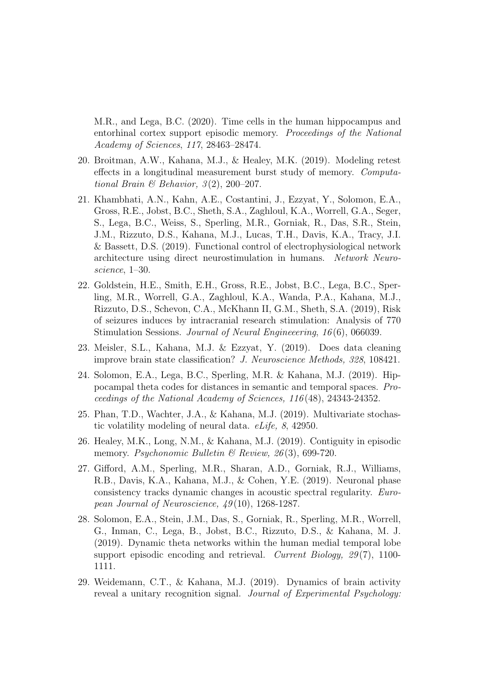M.R., and Lega, B.C. (2020). Time cells in the human hippocampus and entorhinal cortex support episodic memory. Proceedings of the National Academy of Sciences, 117, 28463–28474.

- 20. Broitman, A.W., Kahana, M.J., & Healey, M.K. (2019). Modeling retest effects in a longitudinal measurement burst study of memory. Computational Brain & Behavior,  $3(2)$ ,  $200-207$ .
- 21. Khambhati, A.N., Kahn, A.E., Costantini, J., Ezzyat, Y., Solomon, E.A., Gross, R.E., Jobst, B.C., Sheth, S.A., Zaghloul, K.A., Worrell, G.A., Seger, S., Lega, B.C., Weiss, S., Sperling, M.R., Gorniak, R., Das, S.R., Stein, J.M., Rizzuto, D.S., Kahana, M.J., Lucas, T.H., Davis, K.A., Tracy, J.I. & Bassett, D.S. (2019). Functional control of electrophysiological network architecture using direct neurostimulation in humans. Network Neuroscience, 1–30.
- 22. Goldstein, H.E., Smith, E.H., Gross, R.E., Jobst, B.C., Lega, B.C., Sperling, M.R., Worrell, G.A., Zaghloul, K.A., Wanda, P.A., Kahana, M.J., Rizzuto, D.S., Schevon, C.A., McKhann II, G.M., Sheth, S.A. (2019), Risk of seizures induces by intracranial research stimulation: Analysis of 770 Stimulation Sessions. Journal of Neural Engineeering, 16 (6), 066039.
- 23. Meisler, S.L., Kahana, M.J. & Ezzyat, Y. (2019). Does data cleaning improve brain state classification? J. Neuroscience Methods, 328, 108421.
- 24. Solomon, E.A., Lega, B.C., Sperling, M.R. & Kahana, M.J. (2019). Hippocampal theta codes for distances in semantic and temporal spaces. Proceedings of the National Academy of Sciences, 116 (48), 24343-24352.
- 25. Phan, T.D., Wachter, J.A., & Kahana, M.J. (2019). Multivariate stochastic volatility modeling of neural data. eLife, 8, 42950.
- 26. Healey, M.K., Long, N.M., & Kahana, M.J. (2019). Contiguity in episodic memory. Psychonomic Bulletin & Review,  $26(3)$ , 699-720.
- 27. Gifford, A.M., Sperling, M.R., Sharan, A.D., Gorniak, R.J., Williams, R.B., Davis, K.A., Kahana, M.J., & Cohen, Y.E. (2019). Neuronal phase consistency tracks dynamic changes in acoustic spectral regularity. European Journal of Neuroscience, 49 (10), 1268-1287.
- 28. Solomon, E.A., Stein, J.M., Das, S., Gorniak, R., Sperling, M.R., Worrell, G., Inman, C., Lega, B., Jobst, B.C., Rizzuto, D.S., & Kahana, M. J. (2019). Dynamic theta networks within the human medial temporal lobe support episodic encoding and retrieval. Current Biology, 29(7), 1100-1111.
- 29. Weidemann, C.T., & Kahana, M.J. (2019). Dynamics of brain activity reveal a unitary recognition signal. Journal of Experimental Psychology: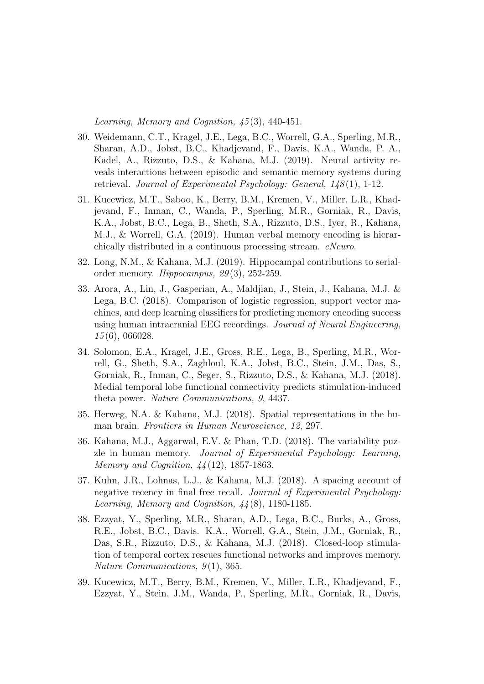Learning, Memory and Cognition, 45 (3), 440-451.

- 30. Weidemann, C.T., Kragel, J.E., Lega, B.C., Worrell, G.A., Sperling, M.R., Sharan, A.D., Jobst, B.C., Khadjevand, F., Davis, K.A., Wanda, P. A., Kadel, A., Rizzuto, D.S., & Kahana, M.J. (2019). Neural activity reveals interactions between episodic and semantic memory systems during retrieval. Journal of Experimental Psychology: General,  $148(1)$ , 1-12.
- 31. Kucewicz, M.T., Saboo, K., Berry, B.M., Kremen, V., Miller, L.R., Khadjevand, F., Inman, C., Wanda, P., Sperling, M.R., Gorniak, R., Davis, K.A., Jobst, B.C., Lega, B., Sheth, S.A., Rizzuto, D.S., Iyer, R., Kahana, M.J., & Worrell, G.A. (2019). Human verbal memory encoding is hierarchically distributed in a continuous processing stream. eNeuro.
- 32. Long, N.M., & Kahana, M.J. (2019). Hippocampal contributions to serialorder memory. *Hippocampus*,  $29(3)$ ,  $252-259$ .
- 33. Arora, A., Lin, J., Gasperian, A., Maldjian, J., Stein, J., Kahana, M.J. & Lega, B.C. (2018). Comparison of logistic regression, support vector machines, and deep learning classifiers for predicting memory encoding success using human intracranial EEG recordings. Journal of Neural Engineering, 15 (6), 066028.
- 34. Solomon, E.A., Kragel, J.E., Gross, R.E., Lega, B., Sperling, M.R., Worrell, G., Sheth, S.A., Zaghloul, K.A., Jobst, B.C., Stein, J.M., Das, S., Gorniak, R., Inman, C., Seger, S., Rizzuto, D.S., & Kahana, M.J. (2018). Medial temporal lobe functional connectivity predicts stimulation-induced theta power. Nature Communications, 9, 4437.
- 35. Herweg, N.A. & Kahana, M.J. (2018). Spatial representations in the human brain. Frontiers in Human Neuroscience, 12, 297.
- 36. Kahana, M.J., Aggarwal, E.V. & Phan, T.D. (2018). The variability puzzle in human memory. Journal of Experimental Psychology: Learning, Memory and Cognition, 44 (12), 1857-1863.
- 37. Kuhn, J.R., Lohnas, L.J., & Kahana, M.J. (2018). A spacing account of negative recency in final free recall. Journal of Experimental Psychology: Learning, Memory and Cognition,  $\frac{1}{4}(8)$ , 1180-1185.
- 38. Ezzyat, Y., Sperling, M.R., Sharan, A.D., Lega, B.C., Burks, A., Gross, R.E., Jobst, B.C., Davis. K.A., Worrell, G.A., Stein, J.M., Gorniak, R., Das, S.R., Rizzuto, D.S., & Kahana, M.J. (2018). Closed-loop stimulation of temporal cortex rescues functional networks and improves memory. Nature Communications,  $9(1)$ , 365.
- 39. Kucewicz, M.T., Berry, B.M., Kremen, V., Miller, L.R., Khadjevand, F., Ezzyat, Y., Stein, J.M., Wanda, P., Sperling, M.R., Gorniak, R., Davis,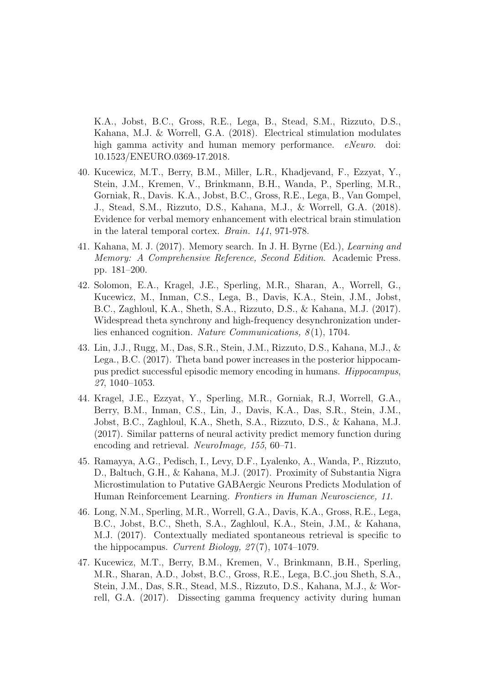K.A., Jobst, B.C., Gross, R.E., Lega, B., Stead, S.M., Rizzuto, D.S., Kahana, M.J. & Worrell, G.A. (2018). Electrical stimulation modulates high gamma activity and human memory performance. eNeuro. doi: 10.1523/ENEURO.0369-17.2018.

- 40. Kucewicz, M.T., Berry, B.M., Miller, L.R., Khadjevand, F., Ezzyat, Y., Stein, J.M., Kremen, V., Brinkmann, B.H., Wanda, P., Sperling, M.R., Gorniak, R., Davis. K.A., Jobst, B.C., Gross, R.E., Lega, B., Van Gompel, J., Stead, S.M., Rizzuto, D.S., Kahana, M.J., & Worrell, G.A. (2018). Evidence for verbal memory enhancement with electrical brain stimulation in the lateral temporal cortex. Brain. 141, 971-978.
- 41. Kahana, M. J. (2017). Memory search. In J. H. Byrne (Ed.), Learning and Memory: A Comprehensive Reference, Second Edition. Academic Press. pp. 181–200.
- 42. Solomon, E.A., Kragel, J.E., Sperling, M.R., Sharan, A., Worrell, G., Kucewicz, M., Inman, C.S., Lega, B., Davis, K.A., Stein, J.M., Jobst, B.C., Zaghloul, K.A., Sheth, S.A., Rizzuto, D.S., & Kahana, M.J. (2017). Widespread theta synchrony and high-frequency desynchronization underlies enhanced cognition. Nature Communications,  $8(1)$ , 1704.
- 43. Lin, J.J., Rugg, M., Das, S.R., Stein, J.M., Rizzuto, D.S., Kahana, M.J., & Lega., B.C. (2017). Theta band power increases in the posterior hippocampus predict successful episodic memory encoding in humans. Hippocampus, 27, 1040–1053.
- 44. Kragel, J.E., Ezzyat, Y., Sperling, M.R., Gorniak, R.J, Worrell, G.A., Berry, B.M., Inman, C.S., Lin, J., Davis, K.A., Das, S.R., Stein, J.M., Jobst, B.C., Zaghloul, K.A., Sheth, S.A., Rizzuto, D.S., & Kahana, M.J. (2017). Similar patterns of neural activity predict memory function during encoding and retrieval. NeuroImage, 155, 60–71.
- 45. Ramayya, A.G., Pedisch, I., Levy, D.F., Lyalenko, A., Wanda, P., Rizzuto, D., Baltuch, G.H., & Kahana, M.J. (2017). Proximity of Substantia Nigra Microstimulation to Putative GABAergic Neurons Predicts Modulation of Human Reinforcement Learning. Frontiers in Human Neuroscience, 11.
- 46. Long, N.M., Sperling, M.R., Worrell, G.A., Davis, K.A., Gross, R.E., Lega, B.C., Jobst, B.C., Sheth, S.A., Zaghloul, K.A., Stein, J.M., & Kahana, M.J. (2017). Contextually mediated spontaneous retrieval is specific to the hippocampus. Current Biology,  $27(7)$ , 1074–1079.
- 47. Kucewicz, M.T., Berry, B.M., Kremen, V., Brinkmann, B.H., Sperling, M.R., Sharan, A.D., Jobst, B.C., Gross, R.E., Lega, B.C.,jou Sheth, S.A., Stein, J.M., Das, S.R., Stead, M.S., Rizzuto, D.S., Kahana, M.J., & Worrell, G.A. (2017). Dissecting gamma frequency activity during human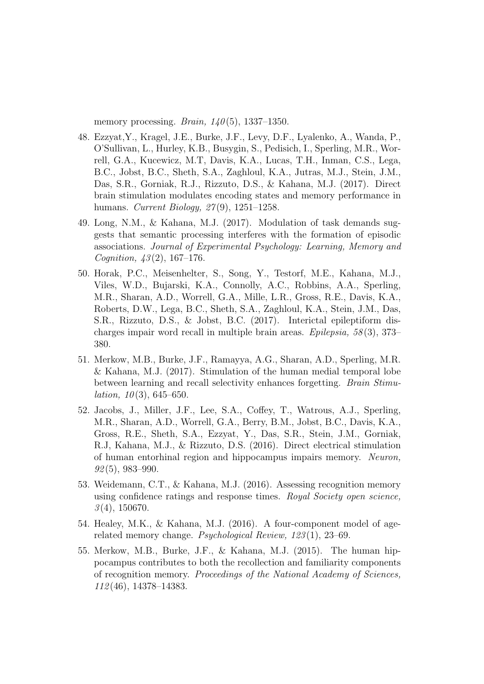memory processing. Brain,  $140(5)$ , 1337–1350.

- 48. Ezzyat,Y., Kragel, J.E., Burke, J.F., Levy, D.F., Lyalenko, A., Wanda, P., O'Sullivan, L., Hurley, K.B., Busygin, S., Pedisich, I., Sperling, M.R., Worrell, G.A., Kucewicz, M.T, Davis, K.A., Lucas, T.H., Inman, C.S., Lega, B.C., Jobst, B.C., Sheth, S.A., Zaghloul, K.A., Jutras, M.J., Stein, J.M., Das, S.R., Gorniak, R.J., Rizzuto, D.S., & Kahana, M.J. (2017). Direct brain stimulation modulates encoding states and memory performance in humans. *Current Biology*, 27(9), 1251–1258.
- 49. Long, N.M., & Kahana, M.J. (2017). Modulation of task demands suggests that semantic processing interferes with the formation of episodic associations. Journal of Experimental Psychology: Learning, Memory and *Cognition,*  $43(2)$ , 167–176.
- 50. Horak, P.C., Meisenhelter, S., Song, Y., Testorf, M.E., Kahana, M.J., Viles, W.D., Bujarski, K.A., Connolly, A.C., Robbins, A.A., Sperling, M.R., Sharan, A.D., Worrell, G.A., Mille, L.R., Gross, R.E., Davis, K.A., Roberts, D.W., Lega, B.C., Sheth, S.A., Zaghloul, K.A., Stein, J.M., Das, S.R., Rizzuto, D.S., & Jobst, B.C. (2017). Interictal epileptiform discharges impair word recall in multiple brain areas. Epilepsia, 58 (3), 373– 380.
- 51. Merkow, M.B., Burke, J.F., Ramayya, A.G., Sharan, A.D., Sperling, M.R. & Kahana, M.J. (2017). Stimulation of the human medial temporal lobe between learning and recall selectivity enhances forgetting. Brain Stimu*lation*,  $10(3)$ ,  $645-650$ .
- 52. Jacobs, J., Miller, J.F., Lee, S.A., Coffey, T., Watrous, A.J., Sperling, M.R., Sharan, A.D., Worrell, G.A., Berry, B.M., Jobst, B.C., Davis, K.A., Gross, R.E., Sheth, S.A., Ezzyat, Y., Das, S.R., Stein, J.M., Gorniak, R.J, Kahana, M.J., & Rizzuto, D.S. (2016). Direct electrical stimulation of human entorhinal region and hippocampus impairs memory. Neuron,  $92(5)$ , 983–990.
- 53. Weidemann, C.T., & Kahana, M.J. (2016). Assessing recognition memory using confidence ratings and response times. Royal Society open science,  $3(4)$ , 150670.
- 54. Healey, M.K., & Kahana, M.J. (2016). A four-component model of agerelated memory change. Psychological Review, 123 (1), 23–69.
- 55. Merkow, M.B., Burke, J.F., & Kahana, M.J. (2015). The human hippocampus contributes to both the recollection and familiarity components of recognition memory. Proceedings of the National Academy of Sciences, 112 (46), 14378–14383.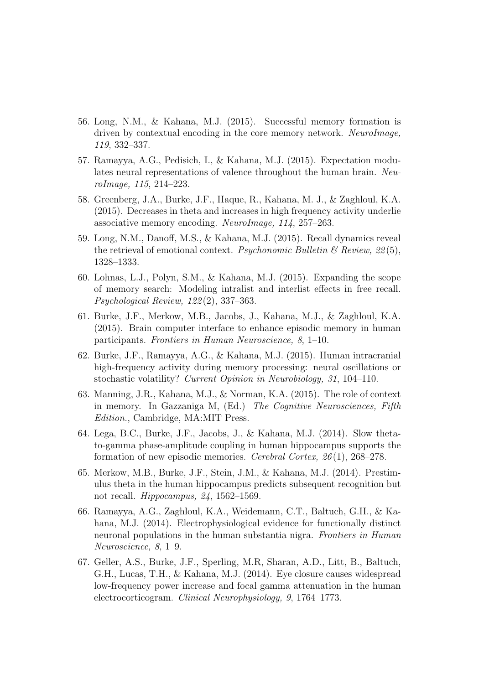- 56. Long, N.M., & Kahana, M.J. (2015). Successful memory formation is driven by contextual encoding in the core memory network. NeuroImage, 119, 332–337.
- 57. Ramayya, A.G., Pedisich, I., & Kahana, M.J. (2015). Expectation modulates neural representations of valence throughout the human brain. NeuroImage, 115, 214–223.
- 58. Greenberg, J.A., Burke, J.F., Haque, R., Kahana, M. J., & Zaghloul, K.A. (2015). Decreases in theta and increases in high frequency activity underlie associative memory encoding. NeuroImage, 114, 257–263.
- 59. Long, N.M., Danoff, M.S., & Kahana, M.J. (2015). Recall dynamics reveal the retrieval of emotional context. Psychonomic Bulletin  $\mathcal B$  Review, 22(5), 1328–1333.
- 60. Lohnas, L.J., Polyn, S.M., & Kahana, M.J. (2015). Expanding the scope of memory search: Modeling intralist and interlist effects in free recall. Psychological Review, 122 (2), 337–363.
- 61. Burke, J.F., Merkow, M.B., Jacobs, J., Kahana, M.J., & Zaghloul, K.A. (2015). Brain computer interface to enhance episodic memory in human participants. Frontiers in Human Neuroscience, 8, 1–10.
- 62. Burke, J.F., Ramayya, A.G., & Kahana, M.J. (2015). Human intracranial high-frequency activity during memory processing: neural oscillations or stochastic volatility? Current Opinion in Neurobiology, 31, 104–110.
- 63. Manning, J.R., Kahana, M.J., & Norman, K.A. (2015). The role of context in memory. In Gazzaniga M, (Ed.) The Cognitive Neurosciences, Fifth Edition., Cambridge, MA:MIT Press.
- 64. Lega, B.C., Burke, J.F., Jacobs, J., & Kahana, M.J. (2014). Slow thetato-gamma phase-amplitude coupling in human hippocampus supports the formation of new episodic memories. Cerebral Cortex, 26 (1), 268–278.
- 65. Merkow, M.B., Burke, J.F., Stein, J.M., & Kahana, M.J. (2014). Prestimulus theta in the human hippocampus predicts subsequent recognition but not recall. Hippocampus, 24, 1562–1569.
- 66. Ramayya, A.G., Zaghloul, K.A., Weidemann, C.T., Baltuch, G.H., & Kahana, M.J. (2014). Electrophysiological evidence for functionally distinct neuronal populations in the human substantia nigra. Frontiers in Human Neuroscience, 8, 1–9.
- 67. Geller, A.S., Burke, J.F., Sperling, M.R, Sharan, A.D., Litt, B., Baltuch, G.H., Lucas, T.H., & Kahana, M.J. (2014). Eye closure causes widespread low-frequency power increase and focal gamma attenuation in the human electrocorticogram. Clinical Neurophysiology, 9, 1764–1773.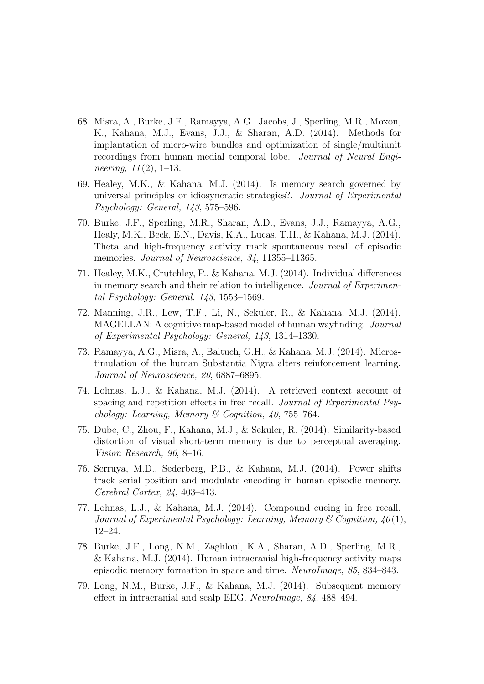- 68. Misra, A., Burke, J.F., Ramayya, A.G., Jacobs, J., Sperling, M.R., Moxon, K., Kahana, M.J., Evans, J.J., & Sharan, A.D. (2014). Methods for implantation of micro-wire bundles and optimization of single/multiunit recordings from human medial temporal lobe. Journal of Neural Engineering,  $11(2)$ , 1–13.
- 69. Healey, M.K., & Kahana, M.J. (2014). Is memory search governed by universal principles or idiosyncratic strategies?. Journal of Experimental Psychology: General, 143, 575–596.
- 70. Burke, J.F., Sperling, M.R., Sharan, A.D., Evans, J.J., Ramayya, A.G., Healy, M.K., Beck, E.N., Davis, K.A., Lucas, T.H., & Kahana, M.J. (2014). Theta and high-frequency activity mark spontaneous recall of episodic memories. Journal of Neuroscience, 34, 11355–11365.
- 71. Healey, M.K., Crutchley, P., & Kahana, M.J. (2014). Individual differences in memory search and their relation to intelligence. Journal of Experimental Psychology: General, 143, 1553–1569.
- 72. Manning, J.R., Lew, T.F., Li, N., Sekuler, R., & Kahana, M.J. (2014). MAGELLAN: A cognitive map-based model of human wayfinding. Journal of Experimental Psychology: General, 143, 1314–1330.
- 73. Ramayya, A.G., Misra, A., Baltuch, G.H., & Kahana, M.J. (2014). Microstimulation of the human Substantia Nigra alters reinforcement learning. Journal of Neuroscience, 20, 6887–6895.
- 74. Lohnas, L.J., & Kahana, M.J. (2014). A retrieved context account of spacing and repetition effects in free recall. Journal of Experimental Psychology: Learning, Memory & Cognition, 40, 755–764.
- 75. Dube, C., Zhou, F., Kahana, M.J., & Sekuler, R. (2014). Similarity-based distortion of visual short-term memory is due to perceptual averaging. Vision Research, 96, 8–16.
- 76. Serruya, M.D., Sederberg, P.B., & Kahana, M.J. (2014). Power shifts track serial position and modulate encoding in human episodic memory. Cerebral Cortex, 24, 403–413.
- 77. Lohnas, L.J., & Kahana, M.J. (2014). Compound cueing in free recall. Journal of Experimental Psychology: Learning, Memory & Cognition,  $40(1)$ , 12–24.
- 78. Burke, J.F., Long, N.M., Zaghloul, K.A., Sharan, A.D., Sperling, M.R., & Kahana, M.J. (2014). Human intracranial high-frequency activity maps episodic memory formation in space and time. NeuroImage, 85, 834–843.
- 79. Long, N.M., Burke, J.F., & Kahana, M.J. (2014). Subsequent memory effect in intracranial and scalp EEG. NeuroImage, 84, 488–494.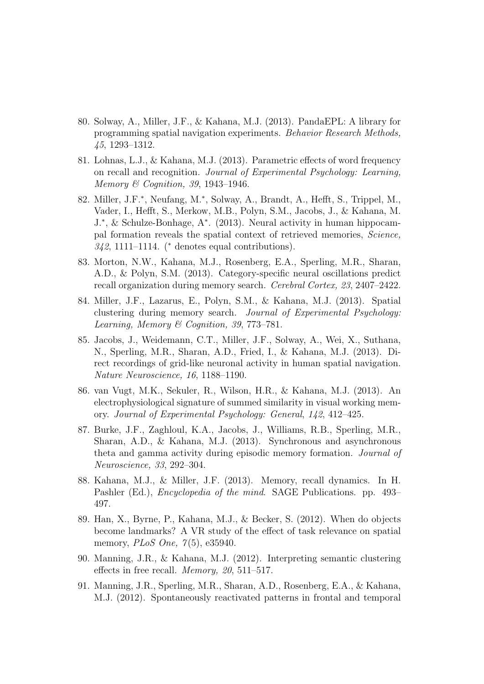- 80. Solway, A., Miller, J.F., & Kahana, M.J. (2013). PandaEPL: A library for programming spatial navigation experiments. Behavior Research Methods, 45, 1293–1312.
- 81. Lohnas, L.J., & Kahana, M.J. (2013). Parametric effects of word frequency on recall and recognition. Journal of Experimental Psychology: Learning, Memory & Cognition, 39, 1943–1946.
- 82. Miller, J.F.<sup>\*</sup>, Neufang, M.<sup>\*</sup>, Solway, A., Brandt, A., Hefft, S., Trippel, M., Vader, I., Hefft, S., Merkow, M.B., Polyn, S.M., Jacobs, J., & Kahana, M. J.<sup>∗</sup> , & Schulze-Bonhage, A<sup>∗</sup> . (2013). Neural activity in human hippocampal formation reveals the spatial context of retrieved memories, Science,  $342, 1111-1114.$  (\* denotes equal contributions).
- 83. Morton, N.W., Kahana, M.J., Rosenberg, E.A., Sperling, M.R., Sharan, A.D., & Polyn, S.M. (2013). Category-specific neural oscillations predict recall organization during memory search. Cerebral Cortex, 23, 2407–2422.
- 84. Miller, J.F., Lazarus, E., Polyn, S.M., & Kahana, M.J. (2013). Spatial clustering during memory search. Journal of Experimental Psychology: Learning, Memory & Cognition, 39, 773–781.
- 85. Jacobs, J., Weidemann, C.T., Miller, J.F., Solway, A., Wei, X., Suthana, N., Sperling, M.R., Sharan, A.D., Fried, I., & Kahana, M.J. (2013). Direct recordings of grid-like neuronal activity in human spatial navigation. Nature Neuroscience, 16, 1188–1190.
- 86. van Vugt, M.K., Sekuler, R., Wilson, H.R., & Kahana, M.J. (2013). An electrophysiological signature of summed similarity in visual working memory. Journal of Experimental Psychology: General, 142, 412–425.
- 87. Burke, J.F., Zaghloul, K.A., Jacobs, J., Williams, R.B., Sperling, M.R., Sharan, A.D., & Kahana, M.J. (2013). Synchronous and asynchronous theta and gamma activity during episodic memory formation. Journal of Neuroscience, 33, 292–304.
- 88. Kahana, M.J., & Miller, J.F. (2013). Memory, recall dynamics. In H. Pashler (Ed.), Encyclopedia of the mind. SAGE Publications. pp. 493– 497.
- 89. Han, X., Byrne, P., Kahana, M.J., & Becker, S. (2012). When do objects become landmarks? A VR study of the effect of task relevance on spatial memory, *PLoS One*,  $7(5)$ , e35940.
- 90. Manning, J.R., & Kahana, M.J. (2012). Interpreting semantic clustering effects in free recall. Memory, 20, 511–517.
- 91. Manning, J.R., Sperling, M.R., Sharan, A.D., Rosenberg, E.A., & Kahana, M.J. (2012). Spontaneously reactivated patterns in frontal and temporal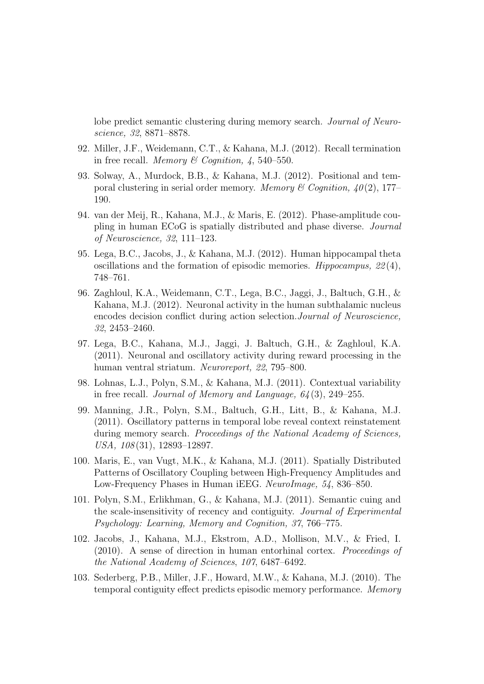lobe predict semantic clustering during memory search. Journal of Neuroscience, 32, 8871–8878.

- 92. Miller, J.F., Weidemann, C.T., & Kahana, M.J. (2012). Recall termination in free recall. Memory & Cognition,  $\lambda$ , 540–550.
- 93. Solway, A., Murdock, B.B., & Kahana, M.J. (2012). Positional and temporal clustering in serial order memory. Memory & Cognition,  $40(2)$ , 177– 190.
- 94. van der Meij, R., Kahana, M.J., & Maris, E. (2012). Phase-amplitude coupling in human ECoG is spatially distributed and phase diverse. Journal of Neuroscience, 32, 111–123.
- 95. Lega, B.C., Jacobs, J., & Kahana, M.J. (2012). Human hippocampal theta oscillations and the formation of episodic memories. Hippocampus,  $22(4)$ , 748–761.
- 96. Zaghloul, K.A., Weidemann, C.T., Lega, B.C., Jaggi, J., Baltuch, G.H., & Kahana, M.J. (2012). Neuronal activity in the human subthalamic nucleus encodes decision conflict during action selection.Journal of Neuroscience, 32, 2453–2460.
- 97. Lega, B.C., Kahana, M.J., Jaggi, J. Baltuch, G.H., & Zaghloul, K.A. (2011). Neuronal and oscillatory activity during reward processing in the human ventral striatum. Neuroreport, 22, 795–800.
- 98. Lohnas, L.J., Polyn, S.M., & Kahana, M.J. (2011). Contextual variability in free recall. Journal of Memory and Language,  $64(3)$ , 249–255.
- 99. Manning, J.R., Polyn, S.M., Baltuch, G.H., Litt, B., & Kahana, M.J. (2011). Oscillatory patterns in temporal lobe reveal context reinstatement during memory search. *Proceedings of the National Academy of Sciences*, USA, 108 (31), 12893–12897.
- 100. Maris, E., van Vugt, M.K., & Kahana, M.J. (2011). Spatially Distributed Patterns of Oscillatory Coupling between High-Frequency Amplitudes and Low-Frequency Phases in Human iEEG. NeuroImage, 54, 836–850.
- 101. Polyn, S.M., Erlikhman, G., & Kahana, M.J. (2011). Semantic cuing and the scale-insensitivity of recency and contiguity. Journal of Experimental Psychology: Learning, Memory and Cognition, 37, 766–775.
- 102. Jacobs, J., Kahana, M.J., Ekstrom, A.D., Mollison, M.V., & Fried, I. (2010). A sense of direction in human entorhinal cortex. Proceedings of the National Academy of Sciences, 107, 6487–6492.
- 103. Sederberg, P.B., Miller, J.F., Howard, M.W., & Kahana, M.J. (2010). The temporal contiguity effect predicts episodic memory performance. Memory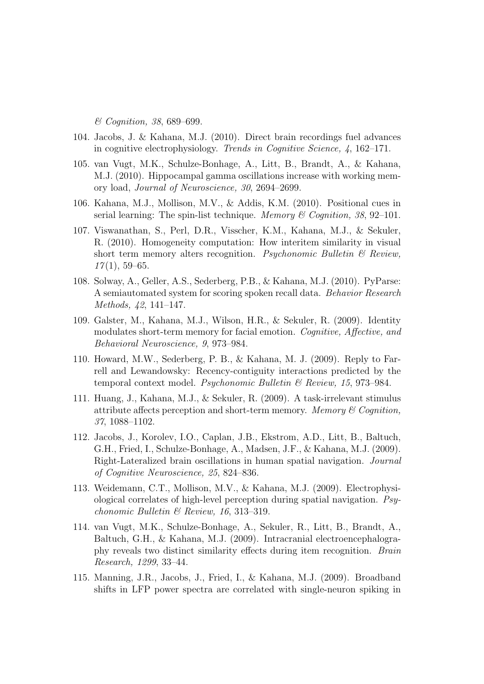& Cognition, 38, 689–699.

- 104. Jacobs, J. & Kahana, M.J. (2010). Direct brain recordings fuel advances in cognitive electrophysiology. Trends in Cognitive Science, 4, 162–171.
- 105. van Vugt, M.K., Schulze-Bonhage, A., Litt, B., Brandt, A., & Kahana, M.J. (2010). Hippocampal gamma oscillations increase with working memory load, Journal of Neuroscience, 30, 2694–2699.
- 106. Kahana, M.J., Mollison, M.V., & Addis, K.M. (2010). Positional cues in serial learning: The spin-list technique. Memory & Cognition, 38, 92-101.
- 107. Viswanathan, S., Perl, D.R., Visscher, K.M., Kahana, M.J., & Sekuler, R. (2010). Homogeneity computation: How interitem similarity in visual short term memory alters recognition. Psychonomic Bulletin  $\mathcal{B}$  Review,  $17(1), 59-65.$
- 108. Solway, A., Geller, A.S., Sederberg, P.B., & Kahana, M.J. (2010). PyParse: A semiautomated system for scoring spoken recall data. Behavior Research Methods, 42, 141–147.
- 109. Galster, M., Kahana, M.J., Wilson, H.R., & Sekuler, R. (2009). Identity modulates short-term memory for facial emotion. Cognitive, Affective, and Behavioral Neuroscience, 9, 973–984.
- 110. Howard, M.W., Sederberg, P. B., & Kahana, M. J. (2009). Reply to Farrell and Lewandowsky: Recency-contiguity interactions predicted by the temporal context model. Psychonomic Bulletin & Review, 15, 973–984.
- 111. Huang, J., Kahana, M.J., & Sekuler, R. (2009). A task-irrelevant stimulus attribute affects perception and short-term memory. Memory  $\mathcal C$  Cognition, 37, 1088–1102.
- 112. Jacobs, J., Korolev, I.O., Caplan, J.B., Ekstrom, A.D., Litt, B., Baltuch, G.H., Fried, I., Schulze-Bonhage, A., Madsen, J.F., & Kahana, M.J. (2009). Right-Lateralized brain oscillations in human spatial navigation. Journal of Cognitive Neuroscience, 25, 824–836.
- 113. Weidemann, C.T., Mollison, M.V., & Kahana, M.J. (2009). Electrophysiological correlates of high-level perception during spatial navigation. Psychonomic Bulletin & Review, 16, 313–319.
- 114. van Vugt, M.K., Schulze-Bonhage, A., Sekuler, R., Litt, B., Brandt, A., Baltuch, G.H., & Kahana, M.J. (2009). Intracranial electroencephalography reveals two distinct similarity effects during item recognition. Brain Research, 1299, 33–44.
- 115. Manning, J.R., Jacobs, J., Fried, I., & Kahana, M.J. (2009). Broadband shifts in LFP power spectra are correlated with single-neuron spiking in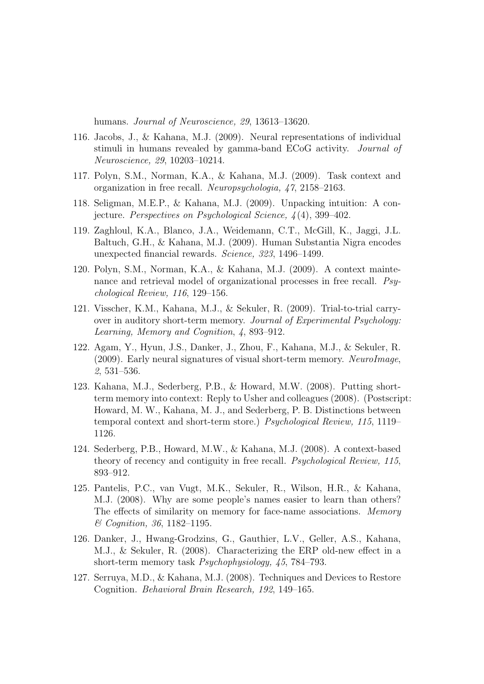humans. Journal of Neuroscience, 29, 13613–13620.

- 116. Jacobs, J., & Kahana, M.J. (2009). Neural representations of individual stimuli in humans revealed by gamma-band ECoG activity. Journal of Neuroscience, 29, 10203–10214.
- 117. Polyn, S.M., Norman, K.A., & Kahana, M.J. (2009). Task context and organization in free recall. Neuropsychologia, 47, 2158–2163.
- 118. Seligman, M.E.P., & Kahana, M.J. (2009). Unpacking intuition: A conjecture. Perspectives on Psychological Science, 4 (4), 399–402.
- 119. Zaghloul, K.A., Blanco, J.A., Weidemann, C.T., McGill, K., Jaggi, J.L. Baltuch, G.H., & Kahana, M.J. (2009). Human Substantia Nigra encodes unexpected financial rewards. Science, 323, 1496–1499.
- 120. Polyn, S.M., Norman, K.A., & Kahana, M.J. (2009). A context maintenance and retrieval model of organizational processes in free recall. Psychological Review, 116, 129–156.
- 121. Visscher, K.M., Kahana, M.J., & Sekuler, R. (2009). Trial-to-trial carryover in auditory short-term memory. Journal of Experimental Psychology: Learning, Memory and Cognition, 4, 893–912.
- 122. Agam, Y., Hyun, J.S., Danker, J., Zhou, F., Kahana, M.J., & Sekuler, R. (2009). Early neural signatures of visual short-term memory. NeuroImage, 2, 531–536.
- 123. Kahana, M.J., Sederberg, P.B., & Howard, M.W. (2008). Putting shortterm memory into context: Reply to Usher and colleagues (2008). (Postscript: Howard, M. W., Kahana, M. J., and Sederberg, P. B. Distinctions between temporal context and short-term store.) Psychological Review, 115, 1119– 1126.
- 124. Sederberg, P.B., Howard, M.W., & Kahana, M.J. (2008). A context-based theory of recency and contiguity in free recall. Psychological Review, 115, 893–912.
- 125. Pantelis, P.C., van Vugt, M.K., Sekuler, R., Wilson, H.R., & Kahana, M.J. (2008). Why are some people's names easier to learn than others? The effects of similarity on memory for face-name associations. Memory & Cognition, 36, 1182–1195.
- 126. Danker, J., Hwang-Grodzins, G., Gauthier, L.V., Geller, A.S., Kahana, M.J., & Sekuler, R. (2008). Characterizing the ERP old-new effect in a short-term memory task Psychophysiology, 45, 784–793.
- 127. Serruya, M.D., & Kahana, M.J. (2008). Techniques and Devices to Restore Cognition. Behavioral Brain Research, 192, 149–165.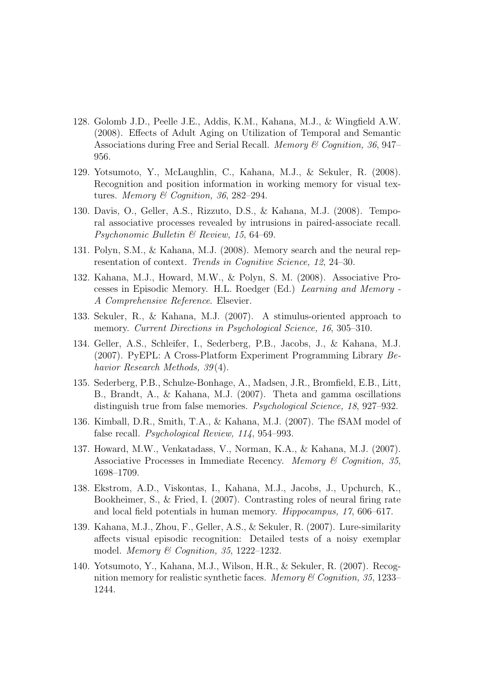- 128. Golomb J.D., Peelle J.E., Addis, K.M., Kahana, M.J., & Wingfield A.W. (2008). Effects of Adult Aging on Utilization of Temporal and Semantic Associations during Free and Serial Recall. Memory & Cognition, 36, 947– 956.
- 129. Yotsumoto, Y., McLaughlin, C., Kahana, M.J., & Sekuler, R. (2008). Recognition and position information in working memory for visual textures. Memory & Cognition, 36, 282–294.
- 130. Davis, O., Geller, A.S., Rizzuto, D.S., & Kahana, M.J. (2008). Temporal associative processes revealed by intrusions in paired-associate recall. Psychonomic Bulletin & Review, 15, 64–69.
- 131. Polyn, S.M., & Kahana, M.J. (2008). Memory search and the neural representation of context. Trends in Cognitive Science, 12, 24–30.
- 132. Kahana, M.J., Howard, M.W., & Polyn, S. M. (2008). Associative Processes in Episodic Memory. H.L. Roedger (Ed.) Learning and Memory - A Comprehensive Reference. Elsevier.
- 133. Sekuler, R., & Kahana, M.J. (2007). A stimulus-oriented approach to memory. Current Directions in Psychological Science, 16, 305–310.
- 134. Geller, A.S., Schleifer, I., Sederberg, P.B., Jacobs, J., & Kahana, M.J. (2007). PyEPL: A Cross-Platform Experiment Programming Library Behavior Research Methods, 39(4).
- 135. Sederberg, P.B., Schulze-Bonhage, A., Madsen, J.R., Bromfield, E.B., Litt, B., Brandt, A., & Kahana, M.J. (2007). Theta and gamma oscillations distinguish true from false memories. Psychological Science, 18, 927–932.
- 136. Kimball, D.R., Smith, T.A., & Kahana, M.J. (2007). The fSAM model of false recall. Psychological Review, 114, 954–993.
- 137. Howard, M.W., Venkatadass, V., Norman, K.A., & Kahana, M.J. (2007). Associative Processes in Immediate Recency. Memory & Cognition, 35, 1698–1709.
- 138. Ekstrom, A.D., Viskontas, I., Kahana, M.J., Jacobs, J., Upchurch, K., Bookheimer, S., & Fried, I. (2007). Contrasting roles of neural firing rate and local field potentials in human memory. Hippocampus, 17, 606–617.
- 139. Kahana, M.J., Zhou, F., Geller, A.S., & Sekuler, R. (2007). Lure-similarity affects visual episodic recognition: Detailed tests of a noisy exemplar model. Memory & Cognition, 35, 1222–1232.
- 140. Yotsumoto, Y., Kahana, M.J., Wilson, H.R., & Sekuler, R. (2007). Recognition memory for realistic synthetic faces. Memory  $\mathcal C$  Cognition, 35, 1233– 1244.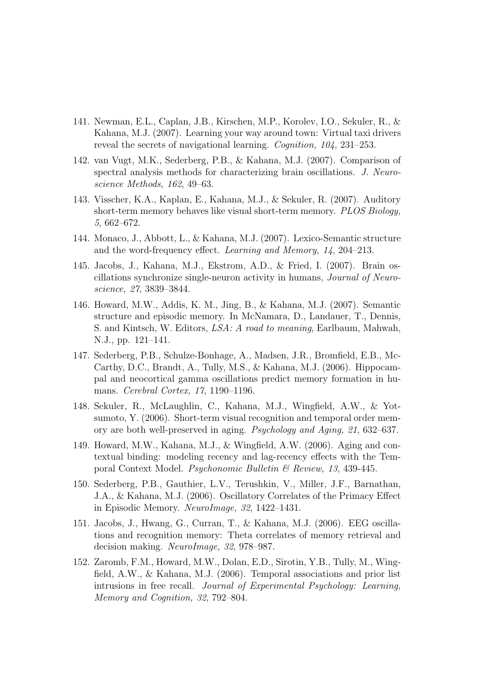- 141. Newman, E.L., Caplan, J.B., Kirschen, M.P., Korolev, I.O., Sekuler, R., & Kahana, M.J. (2007). Learning your way around town: Virtual taxi drivers reveal the secrets of navigational learning. Cognition, 104, 231–253.
- 142. van Vugt, M.K., Sederberg, P.B., & Kahana, M.J. (2007). Comparison of spectral analysis methods for characterizing brain oscillations. J. Neuroscience Methods, 162, 49–63.
- 143. Visscher, K.A., Kaplan, E., Kahana, M.J., & Sekuler, R. (2007). Auditory short-term memory behaves like visual short-term memory. PLOS Biology, 5, 662–672.
- 144. Monaco, J., Abbott, L., & Kahana, M.J. (2007). Lexico-Semantic structure and the word-frequency effect. Learning and Memory, 14, 204–213.
- 145. Jacobs, J., Kahana, M.J., Ekstrom, A.D., & Fried, I. (2007). Brain oscillations synchronize single-neuron activity in humans, Journal of Neuroscience, 27, 3839–3844.
- 146. Howard, M.W., Addis, K. M., Jing, B., & Kahana, M.J. (2007). Semantic structure and episodic memory. In McNamara, D., Landauer, T., Dennis, S. and Kintsch, W. Editors, LSA: A road to meaning, Earlbaum, Mahwah, N.J., pp. 121–141.
- 147. Sederberg, P.B., Schulze-Bonhage, A., Madsen, J.R., Bromfield, E.B., Mc-Carthy, D.C., Brandt, A., Tully, M.S., & Kahana, M.J. (2006). Hippocampal and neocortical gamma oscillations predict memory formation in humans. Cerebral Cortex, 17, 1190–1196.
- 148. Sekuler, R., McLaughlin, C., Kahana, M.J., Wingfield, A.W., & Yotsumoto, Y. (2006). Short-term visual recognition and temporal order memory are both well-preserved in aging. Psychology and Aging, 21, 632–637.
- 149. Howard, M.W., Kahana, M.J., & Wingfield, A.W. (2006). Aging and contextual binding: modeling recency and lag-recency effects with the Temporal Context Model. Psychonomic Bulletin & Review, 13, 439-445.
- 150. Sederberg, P.B., Gauthier, L.V., Terushkin, V., Miller, J.F., Barnathan, J.A., & Kahana, M.J. (2006). Oscillatory Correlates of the Primacy Effect in Episodic Memory. NeuroImage, 32, 1422–1431.
- 151. Jacobs, J., Hwang, G., Curran, T., & Kahana, M.J. (2006). EEG oscillations and recognition memory: Theta correlates of memory retrieval and decision making. NeuroImage, 32, 978–987.
- 152. Zaromb, F.M., Howard, M.W., Dolan, E.D., Sirotin, Y.B., Tully, M., Wingfield, A.W., & Kahana, M.J. (2006). Temporal associations and prior list intrusions in free recall. Journal of Experimental Psychology: Learning, Memory and Cognition, 32, 792–804.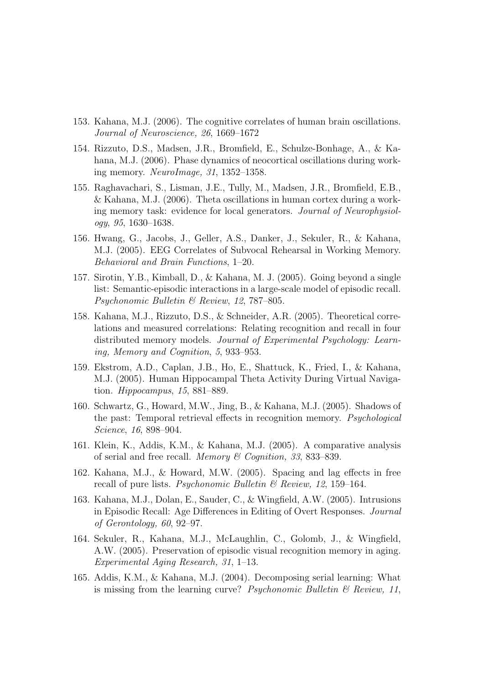- 153. Kahana, M.J. (2006). The cognitive correlates of human brain oscillations. Journal of Neuroscience, 26, 1669–1672
- 154. Rizzuto, D.S., Madsen, J.R., Bromfield, E., Schulze-Bonhage, A., & Kahana, M.J. (2006). Phase dynamics of neocortical oscillations during working memory. NeuroImage, 31, 1352–1358.
- 155. Raghavachari, S., Lisman, J.E., Tully, M., Madsen, J.R., Bromfield, E.B., & Kahana, M.J. (2006). Theta oscillations in human cortex during a working memory task: evidence for local generators. Journal of Neurophysiology, 95, 1630–1638.
- 156. Hwang, G., Jacobs, J., Geller, A.S., Danker, J., Sekuler, R., & Kahana, M.J. (2005). EEG Correlates of Subvocal Rehearsal in Working Memory. Behavioral and Brain Functions, 1–20.
- 157. Sirotin, Y.B., Kimball, D., & Kahana, M. J. (2005). Going beyond a single list: Semantic-episodic interactions in a large-scale model of episodic recall. Psychonomic Bulletin & Review, 12, 787–805.
- 158. Kahana, M.J., Rizzuto, D.S., & Schneider, A.R. (2005). Theoretical correlations and measured correlations: Relating recognition and recall in four distributed memory models. Journal of Experimental Psychology: Learning, Memory and Cognition, 5, 933–953.
- 159. Ekstrom, A.D., Caplan, J.B., Ho, E., Shattuck, K., Fried, I., & Kahana, M.J. (2005). Human Hippocampal Theta Activity During Virtual Navigation. Hippocampus, 15, 881–889.
- 160. Schwartz, G., Howard, M.W., Jing, B., & Kahana, M.J. (2005). Shadows of the past: Temporal retrieval effects in recognition memory. Psychological Science, 16, 898–904.
- 161. Klein, K., Addis, K.M., & Kahana, M.J. (2005). A comparative analysis of serial and free recall. Memory & Cognition, 33, 833–839.
- 162. Kahana, M.J., & Howard, M.W. (2005). Spacing and lag effects in free recall of pure lists. Psychonomic Bulletin  $\mathcal B$  Review, 12, 159–164.
- 163. Kahana, M.J., Dolan, E., Sauder, C., & Wingfield, A.W. (2005). Intrusions in Episodic Recall: Age Differences in Editing of Overt Responses. Journal of Gerontology, 60, 92–97.
- 164. Sekuler, R., Kahana, M.J., McLaughlin, C., Golomb, J., & Wingfield, A.W. (2005). Preservation of episodic visual recognition memory in aging. Experimental Aging Research, 31, 1–13.
- 165. Addis, K.M., & Kahana, M.J. (2004). Decomposing serial learning: What is missing from the learning curve? *Psychonomic Bulletin*  $\mathcal{B}$  *Review, 11*,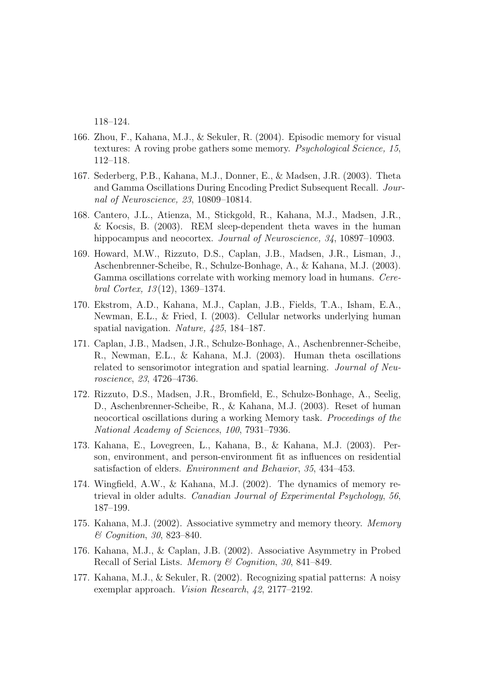118–124.

- 166. Zhou, F., Kahana, M.J., & Sekuler, R. (2004). Episodic memory for visual textures: A roving probe gathers some memory. Psychological Science, 15, 112–118.
- 167. Sederberg, P.B., Kahana, M.J., Donner, E., & Madsen, J.R. (2003). Theta and Gamma Oscillations During Encoding Predict Subsequent Recall. Journal of Neuroscience, 23, 10809–10814.
- 168. Cantero, J.L., Atienza, M., Stickgold, R., Kahana, M.J., Madsen, J.R., & Kocsis, B. (2003). REM sleep-dependent theta waves in the human hippocampus and neocortex. *Journal of Neuroscience*, 34, 10897–10903.
- 169. Howard, M.W., Rizzuto, D.S., Caplan, J.B., Madsen, J.R., Lisman, J., Aschenbrenner-Scheibe, R., Schulze-Bonhage, A., & Kahana, M.J. (2003). Gamma oscillations correlate with working memory load in humans. Cerebral Cortex,  $13(12)$ , 1369–1374.
- 170. Ekstrom, A.D., Kahana, M.J., Caplan, J.B., Fields, T.A., Isham, E.A., Newman, E.L., & Fried, I. (2003). Cellular networks underlying human spatial navigation. Nature, 425, 184–187.
- 171. Caplan, J.B., Madsen, J.R., Schulze-Bonhage, A., Aschenbrenner-Scheibe, R., Newman, E.L., & Kahana, M.J. (2003). Human theta oscillations related to sensorimotor integration and spatial learning. Journal of Neuroscience, 23, 4726–4736.
- 172. Rizzuto, D.S., Madsen, J.R., Bromfield, E., Schulze-Bonhage, A., Seelig, D., Aschenbrenner-Scheibe, R., & Kahana, M.J. (2003). Reset of human neocortical oscillations during a working Memory task. Proceedings of the National Academy of Sciences, 100, 7931–7936.
- 173. Kahana, E., Lovegreen, L., Kahana, B., & Kahana, M.J. (2003). Person, environment, and person-environment fit as influences on residential satisfaction of elders. Environment and Behavior, 35, 434–453.
- 174. Wingfield, A.W., & Kahana, M.J. (2002). The dynamics of memory retrieval in older adults. Canadian Journal of Experimental Psychology, 56, 187–199.
- 175. Kahana, M.J. (2002). Associative symmetry and memory theory. Memory & Cognition, 30, 823–840.
- 176. Kahana, M.J., & Caplan, J.B. (2002). Associative Asymmetry in Probed Recall of Serial Lists. Memory & Cognition, 30, 841–849.
- 177. Kahana, M.J., & Sekuler, R. (2002). Recognizing spatial patterns: A noisy exemplar approach. Vision Research, 42, 2177–2192.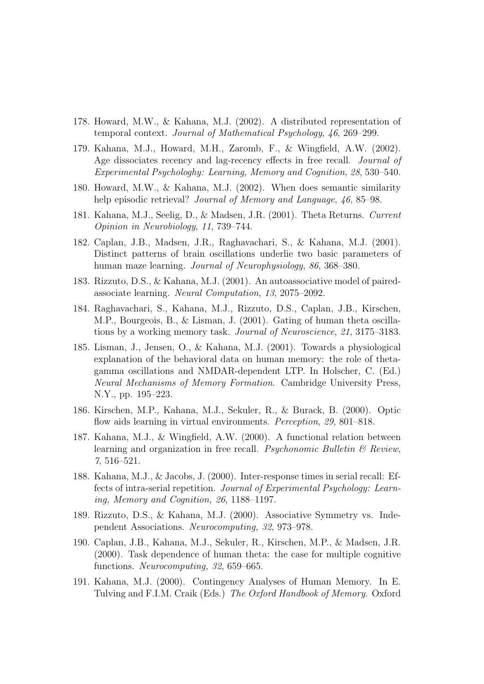- 178. Howard, M.W., & Kahana, M.J. (2002). A distributed representation of temporal context. Journal of Mathematical Psychology, 46, 269–299.
- 179. Kahana, M.J., Howard, M.H., Zaromb, F., & Wingfield, A.W. (2002). Age dissociates recency and lag-recency effects in free recall. Journal of Experimental Psychologhy: Learning, Memory and Cognition, 28, 530–540.
- 180. Howard, M.W., & Kahana, M.J. (2002). When does semantic similarity help episodic retrieval? *Journal of Memory and Language*, 46, 85–98.
- 181. Kahana, M.J., Seelig, D., & Madsen, J.R. (2001). Theta Returns. Current Opinion in Neurobiology, 11, 739–744.
- 182. Caplan, J.B., Madsen, J.R., Raghavachari, S., & Kahana, M.J. (2001). Distinct patterns of brain oscillations underlie two basic parameters of human maze learning. Journal of Neurophysiology, 86, 368–380.
- 183. Rizzuto, D.S., & Kahana, M.J. (2001). An autoassociative model of pairedassociate learning. Neural Computation, 13, 2075–2092.
- 184. Raghavachari, S., Kahana, M.J., Rizzuto, D.S., Caplan, J.B., Kirschen, M.P., Bourgeois, B., & Lisman, J. (2001). Gating of human theta oscillations by a working memory task. Journal of Neuroscience, 21, 3175–3183.
- 185. Lisman, J., Jensen, O., & Kahana, M.J. (2001). Towards a physiological explanation of the behavioral data on human memory: the role of thetagamma oscillations and NMDAR-dependent LTP. In Holscher, C. (Ed.) Neural Mechanisms of Memory Formation. Cambridge University Press, N.Y., pp. 195–223.
- 186. Kirschen, M.P., Kahana, M.J., Sekuler, R., & Burack, B. (2000). Optic flow aids learning in virtual environments. Perception, 29, 801–818.
- 187. Kahana, M.J., & Wingfield, A.W. (2000). A functional relation between learning and organization in free recall. Psychonomic Bulletin  $\mathcal B$  Review, 7, 516–521.
- 188. Kahana, M.J., & Jacobs, J. (2000). Inter-response times in serial recall: Effects of intra-serial repetition. Journal of Experimental Psychology: Learning, Memory and Cognition, 26, 1188–1197.
- 189. Rizzuto, D.S., & Kahana, M.J. (2000). Associative Symmetry vs. Independent Associations. Neurocomputing, 32, 973–978.
- 190. Caplan, J.B., Kahana, M.J., Sekuler, R., Kirschen, M.P., & Madsen, J.R. (2000). Task dependence of human theta: the case for multiple cognitive functions. Neurocomputing, 32, 659–665.
- 191. Kahana, M.J. (2000). Contingency Analyses of Human Memory. In E. Tulving and F.I.M. Craik (Eds.) The Oxford Handbook of Memory. Oxford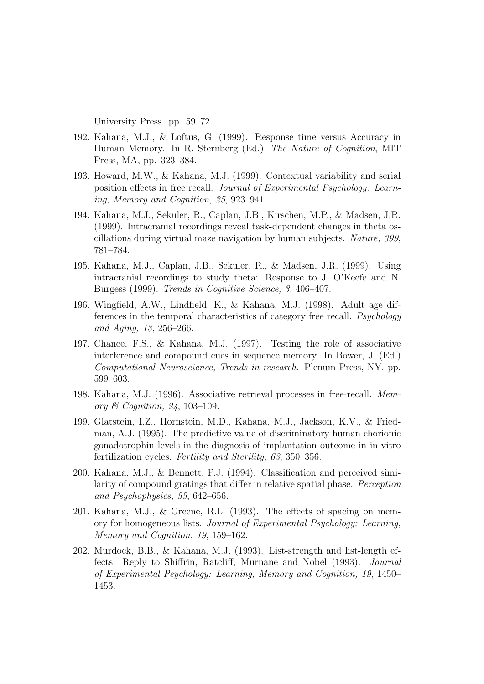University Press. pp. 59–72.

- 192. Kahana, M.J., & Loftus, G. (1999). Response time versus Accuracy in Human Memory. In R. Sternberg (Ed.) The Nature of Cognition, MIT Press, MA, pp. 323–384.
- 193. Howard, M.W., & Kahana, M.J. (1999). Contextual variability and serial position effects in free recall. Journal of Experimental Psychology: Learning, Memory and Cognition, 25, 923–941.
- 194. Kahana, M.J., Sekuler, R., Caplan, J.B., Kirschen, M.P., & Madsen, J.R. (1999). Intracranial recordings reveal task-dependent changes in theta oscillations during virtual maze navigation by human subjects. Nature, 399, 781–784.
- 195. Kahana, M.J., Caplan, J.B., Sekuler, R., & Madsen, J.R. (1999). Using intracranial recordings to study theta: Response to J. O'Keefe and N. Burgess (1999). Trends in Cognitive Science, 3, 406–407.
- 196. Wingfield, A.W., Lindfield, K., & Kahana, M.J. (1998). Adult age differences in the temporal characteristics of category free recall. Psychology and Aging, 13, 256–266.
- 197. Chance, F.S., & Kahana, M.J. (1997). Testing the role of associative interference and compound cues in sequence memory. In Bower, J. (Ed.) Computational Neuroscience, Trends in research. Plenum Press, NY. pp. 599–603.
- 198. Kahana, M.J. (1996). Associative retrieval processes in free-recall. Memory & Cognition, 24, 103–109.
- 199. Glatstein, I.Z., Hornstein, M.D., Kahana, M.J., Jackson, K.V., & Friedman, A.J. (1995). The predictive value of discriminatory human chorionic gonadotrophin levels in the diagnosis of implantation outcome in in-vitro fertilization cycles. Fertility and Sterility, 63, 350–356.
- 200. Kahana, M.J., & Bennett, P.J. (1994). Classification and perceived similarity of compound gratings that differ in relative spatial phase. Perception and Psychophysics, 55, 642–656.
- 201. Kahana, M.J., & Greene, R.L. (1993). The effects of spacing on memory for homogeneous lists. Journal of Experimental Psychology: Learning, Memory and Cognition, 19, 159–162.
- 202. Murdock, B.B., & Kahana, M.J. (1993). List-strength and list-length effects: Reply to Shiffrin, Ratcliff, Murnane and Nobel (1993). Journal of Experimental Psychology: Learning, Memory and Cognition, 19, 1450– 1453.